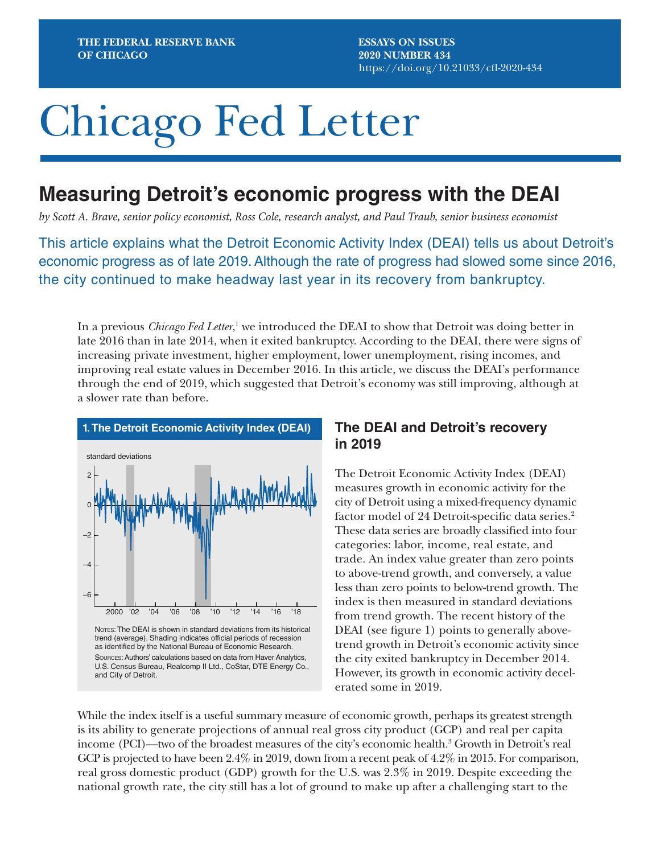**ESSAYS ON ISSUES 2020 NUMBER 434** https://doi.org/10.21033/cfl-2020-434

# Chicago Fed Letter

# **Measuring Detroit's economic progress with the DEAI**

*by Scott A. Brave, senior policy economist, Ross Cole, research analyst, and Paul Traub, senior business economist*

This article explains what the Detroit Economic Activity Index (DEAI) tells us about Detroit's economic progress as of late 2019. Although the rate of progress had slowed some since 2016, the city continued to make headway last year in its recovery from bankruptcy.

In a previous *Chicago Fed Letter*,<sup>1</sup> we introduced the DEAI to show that Detroit was doing better in late 2016 than in late 2014, when it exited bankruptcy. According to the DEAI, there were signs of increasing private investment, higher employment, lower unemployment, rising incomes, and improving real estate values in December 2016. In this article, we discuss the DEAI's performance through the end of 2019, which suggested that Detroit's economy was still improving, although at a slower rate than before.



## **The DEAI and Detroit's recovery in 2019**

The Detroit Economic Activity Index (DEAI) measures growth in economic activity for the city of Detroit using a mixed-frequency dynamic factor model of 24 Detroit-specific data series.<sup>2</sup> These data series are broadly classified into four categories: labor, income, real estate, and trade. An index value greater than zero points to above-trend growth, and conversely, a value less than zero points to below-trend growth. The index is then measured in standard deviations from trend growth. The recent history of the DEAI (see figure 1) points to generally abovetrend growth in Detroit's economic activity since the city exited bankruptcy in December 2014. However, its growth in economic activity decelerated some in 2019.

While the index itself is a useful summary measure of economic growth, perhaps its greatest strength is its ability to generate projections of annual real gross city product (GCP) and real per capita income (PCI)—two of the broadest measures of the city's economic health.<sup>3</sup> Growth in Detroit's real GCP is projected to have been 2.4% in 2019, down from a recent peak of 4.2% in 2015. For comparison, real gross domestic product (GDP) growth for the U.S. was 2.3% in 2019. Despite exceeding the national growth rate, the city still has a lot of ground to make up after a challenging start to the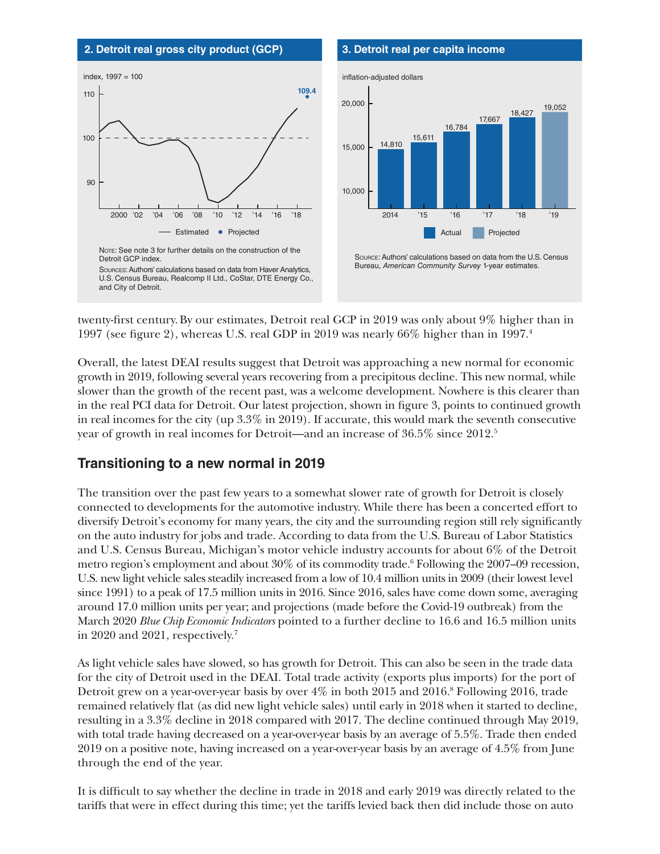

twenty-first century.By our estimates, Detroit real GCP in 2019 was only about 9% higher than in 1997 (see figure 2), whereas U.S. real GDP in 2019 was nearly 66% higher than in 1997.4

Overall, the latest DEAI results suggest that Detroit was approaching a new normal for economic growth in 2019, following several years recovering from a precipitous decline. This new normal, while slower than the growth of the recent past, was a welcome development. Nowhere is this clearer than in the real PCI data for Detroit. Our latest projection, shown in figure 3, points to continued growth in real incomes for the city (up 3.3% in 2019). If accurate, this would mark the seventh consecutive year of growth in real incomes for Detroit—and an increase of 36.5% since 2012.5

# **Transitioning to a new normal in 2019**

The transition over the past few years to a somewhat slower rate of growth for Detroit is closely connected to developments for the automotive industry. While there has been a concerted effort to diversify Detroit's economy for many years, the city and the surrounding region still rely significantly on the auto industry for jobs and trade. According to data from the U.S. Bureau of Labor Statistics and U.S. Census Bureau, Michigan's motor vehicle industry accounts for about 6% of the Detroit metro region's employment and about  $30\%$  of its commodity trade.<sup>6</sup> Following the 2007–09 recession, U.S. new light vehicle sales steadily increased from a low of 10.4 million units in 2009 (their lowest level since 1991) to a peak of 17.5 million units in 2016. Since 2016, sales have come down some, averaging around 17.0 million units per year; and projections (made before the Covid-19 outbreak) from the March 2020 *Blue Chip Economic Indicators* pointed to a further decline to 16.6 and 16.5 million units in 2020 and 2021, respectively.7

As light vehicle sales have slowed, so has growth for Detroit. This can also be seen in the trade data for the city of Detroit used in the DEAI. Total trade activity (exports plus imports) for the port of Detroit grew on a year-over-year basis by over  $4\%$  in both  $2015$  and  $2016$ .<sup>8</sup> Following 2016, trade remained relatively flat (as did new light vehicle sales) until early in 2018 when it started to decline, resulting in a 3.3% decline in 2018 compared with 2017. The decline continued through May 2019, with total trade having decreased on a year-over-year basis by an average of 5.5%. Trade then ended 2019 on a positive note, having increased on a year-over-year basis by an average of 4.5% from June through the end of the year.

It is difficult to say whether the decline in trade in 2018 and early 2019 was directly related to the tariffs that were in effect during this time; yet the tariffs levied back then did include those on auto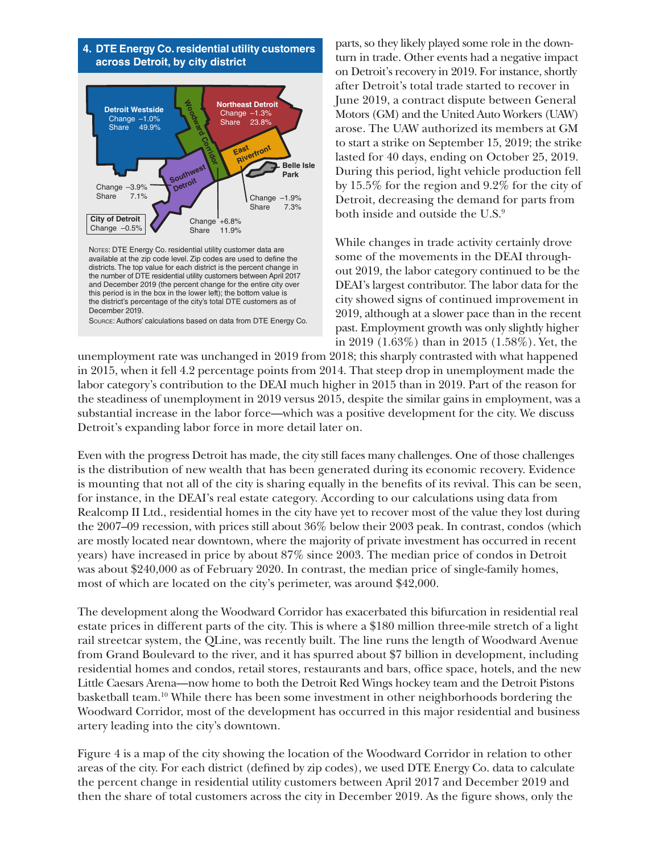

parts, so they likely played some role in the downturn in trade. Other events had a negative impact on Detroit's recovery in 2019. For instance, shortly after Detroit's total trade started to recover in June 2019, a contract dispute between General Motors (GM) and the United Auto Workers (UAW) arose. The UAW authorized its members at GM to start a strike on September 15, 2019; the strike lasted for 40 days, ending on October 25, 2019. During this period, light vehicle production fell by 15.5% for the region and 9.2% for the city of Detroit, decreasing the demand for parts from both inside and outside the U.S.<sup>9</sup>

While changes in trade activity certainly drove some of the movements in the DEAI throughout 2019, the labor category continued to be the DEAI's largest contributor. The labor data for the city showed signs of continued improvement in 2019, although at a slower pace than in the recent past. Employment growth was only slightly higher in 2019 (1.63%) than in 2015 (1.58%). Yet, the

unemployment rate was unchanged in 2019 from 2018; this sharply contrasted with what happened in 2015, when it fell 4.2 percentage points from 2014. That steep drop in unemployment made the labor category's contribution to the DEAI much higher in 2015 than in 2019. Part of the reason for the steadiness of unemployment in 2019 versus 2015, despite the similar gains in employment, was a substantial increase in the labor force—which was a positive development for the city. We discuss Detroit's expanding labor force in more detail later on.

Even with the progress Detroit has made, the city still faces many challenges. One of those challenges is the distribution of new wealth that has been generated during its economic recovery. Evidence is mounting that not all of the city is sharing equally in the benefits of its revival. This can be seen, for instance, in the DEAI's real estate category. According to our calculations using data from Realcomp II Ltd., residential homes in the city have yet to recover most of the value they lost during the 2007–09 recession, with prices still about 36% below their 2003 peak. In contrast, condos (which are mostly located near downtown, where the majority of private investment has occurred in recent years) have increased in price by about 87% since 2003. The median price of condos in Detroit was about \$240,000 as of February 2020. In contrast, the median price of single-family homes, most of which are located on the city's perimeter, was around \$42,000.

The development along the Woodward Corridor has exacerbated this bifurcation in residential real estate prices in different parts of the city. This is where a \$180 million three-mile stretch of a light rail streetcar system, the QLine, was recently built. The line runs the length of Woodward Avenue from Grand Boulevard to the river, and it has spurred about \$7 billion in development, including residential homes and condos, retail stores, restaurants and bars, office space, hotels, and the new Little Caesars Arena—now home to both the Detroit Red Wings hockey team and the Detroit Pistons basketball team.10 While there has been some investment in other neighborhoods bordering the Woodward Corridor, most of the development has occurred in this major residential and business artery leading into the city's downtown.

Figure 4 is a map of the city showing the location of the Woodward Corridor in relation to other areas of the city. For each district (defined by zip codes), we used DTE Energy Co. data to calculate the percent change in residential utility customers between April 2017 and December 2019 and then the share of total customers across the city in December 2019. As the figure shows, only the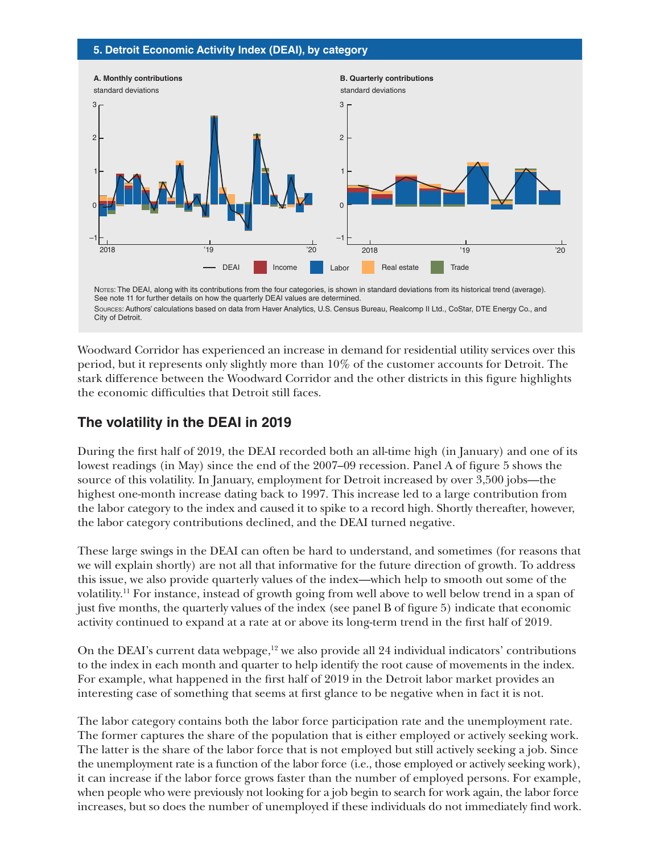#### **5. Detroit Economic Activity Index (DEAI), by category**



Notes: The DEAI, along with its contributions from the four categories, is shown in standard deviations from its historical trend (average). See note 11 for further details on how the quarterly DEAI values are determined. Sources: Authors' calculations based on data from Haver Analytics, U.S. Census Bureau, Realcomp II Ltd., CoStar, DTE Energy Co., and City of Detroit.

Woodward Corridor has experienced an increase in demand for residential utility services over this period, but it represents only slightly more than 10% of the customer accounts for Detroit. The stark difference between the Woodward Corridor and the other districts in this figure highlights the economic difficulties that Detroit still faces.

# **The volatility in the DEAI in 2019**

During the first half of 2019, the DEAI recorded both an all-time high (in January) and one of its lowest readings (in May) since the end of the 2007–09 recession. Panel A of figure 5 shows the source of this volatility. In January, employment for Detroit increased by over 3,500 jobs—the highest one-month increase dating back to 1997. This increase led to a large contribution from the labor category to the index and caused it to spike to a record high. Shortly thereafter, however, the labor category contributions declined, and the DEAI turned negative.

These large swings in the DEAI can often be hard to understand, and sometimes (for reasons that we will explain shortly) are not all that informative for the future direction of growth. To address this issue, we also provide quarterly values of the index—which help to smooth out some of the volatility.11 For instance, instead of growth going from well above to well below trend in a span of just five months, the quarterly values of the index (see panel B of figure 5) indicate that economic activity continued to expand at a rate at or above its long-term trend in the first half of 2019.

On the DEAI's current data webpage,<sup>12</sup> we also provide all 24 individual indicators' contributions to the index in each month and quarter to help identify the root cause of movements in the index. For example, what happened in the first half of 2019 in the Detroit labor market provides an interesting case of something that seems at first glance to be negative when in fact it is not.

The labor category contains both the labor force participation rate and the unemployment rate. The former captures the share of the population that is either employed or actively seeking work. The latter is the share of the labor force that is not employed but still actively seeking a job. Since the unemployment rate is a function of the labor force (i.e., those employed or actively seeking work), it can increase if the labor force grows faster than the number of employed persons. For example, when people who were previously not looking for a job begin to search for work again, the labor force increases, but so does the number of unemployed if these individuals do not immediately find work.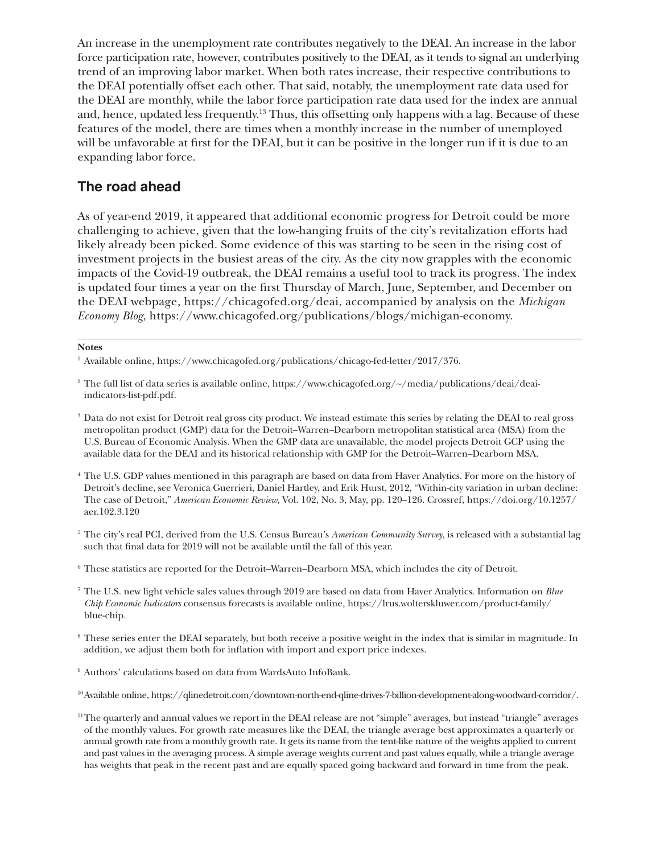An increase in the unemployment rate contributes negatively to the DEAI. An increase in the labor force participation rate, however, contributes positively to the DEAI, as it tends to signal an underlying trend of an improving labor market. When both rates increase, their respective contributions to the DEAI potentially offset each other. That said, notably, the unemployment rate data used for the DEAI are monthly, while the labor force participation rate data used for the index are annual and, hence, updated less frequently.<sup>13</sup> Thus, this offsetting only happens with a lag. Because of these features of the model, there are times when a monthly increase in the number of unemployed will be unfavorable at first for the DEAI, but it can be positive in the longer run if it is due to an expanding labor force.

## **The road ahead**

As of year-end 2019, it appeared that additional economic progress for Detroit could be more challenging to achieve, given that the low-hanging fruits of the city's revitalization efforts had likely already been picked. Some evidence of this was starting to be seen in the rising cost of investment projects in the busiest areas of the city. As the city now grapples with the economic impacts of the Covid-19 outbreak, the DEAI remains a useful tool to track its progress. The index is updated four times a year on the first Thursday of March, June, September, and December on the DEAI webpage, https://chicagofed.org/deai, accompanied by analysis on the *Michigan Economy Blog*, https://www.chicagofed.org/publications/blogs/michigan-economy.

#### **Notes**

- <sup>1</sup> Available online, <https://www.chicagofed.org/publications/chicago-fed-letter/2017/376>.
- <sup>2</sup> The full list of data series is available online, [https://www.chicagofed.org/~/media/publications/deai/deai](https://www.chicagofed.org/~/media/publications/deai/deai-indicators-list-pdf.pdf)[indicators-list-pdf.pdf](https://www.chicagofed.org/~/media/publications/deai/deai-indicators-list-pdf.pdf).
- <sup>3</sup> Data do not exist for Detroit real gross city product. We instead estimate this series by relating the DEAI to real gross metropolitan product (GMP) data for the Detroit–Warren–Dearborn metropolitan statistical area (MSA) from the U.S. Bureau of Economic Analysis. When the GMP data are unavailable, the model projects Detroit GCP using the available data for the DEAI and its historical relationship with GMP for the Detroit–Warren–Dearborn MSA.
- <sup>4</sup> The U.S. GDP values mentioned in this paragraph are based on data from Haver Analytics. For more on the history of Detroit's decline, see Veronica Guerrieri, Daniel Hartley, and Erik Hurst, 2012, "Within-city variation in urban decline: The case of Detroit," *American Economic Review*, Vol. 102, No. 3, May, pp. 120–126. Crossref, [https://doi.org/10.1257/](https://doi.org/10.1257/aer.102.3.120) [aer.102.3.120](https://doi.org/10.1257/aer.102.3.120)
- <sup>5</sup> The city's real PCI, derived from the U.S. Census Bureau's *American Community Survey*, is released with a substantial lag such that final data for 2019 will not be available until the fall of this year.
- <sup>6</sup> These statistics are reported for the Detroit–Warren–Dearborn MSA, which includes the city of Detroit.
- <sup>7</sup> The U.S. new light vehicle sales values through 2019 are based on data from Haver Analytics. Information on *Blue Chip Economic Indicators* consensus forecasts is available online, [https://lrus.wolterskluwer.com/product-family/](https://lrus.wolterskluwer.com/product-family/blue-chip) [blue-chip.](https://lrus.wolterskluwer.com/product-family/blue-chip)
- <sup>8</sup> These series enter the DEAI separately, but both receive a positive weight in the index that is similar in magnitude. In addition, we adjust them both for inflation with import and export price indexes.
- <sup>9</sup> Authors' calculations based on data from WardsAuto InfoBank.
- 10Available online, [https://qlinedetroit.com/downtown-north-end-qline-drives-7-billion-development-along-woodward-corridor/.](https://qlinedetroit.com/downtown-north-end-qline-drives-7-billion-development-along-woodward-corridor/)
- 11The quarterly and annual values we report in the DEAI release are not "simple" averages, but instead "triangle" averages of the monthly values. For growth rate measures like the DEAI, the triangle average best approximates a quarterly or annual growth rate from a monthly growth rate. It gets its name from the tent-like nature of the weights applied to current and past values in the averaging process. A simple average weights current and past values equally, while a triangle average has weights that peak in the recent past and are equally spaced going backward and forward in time from the peak.